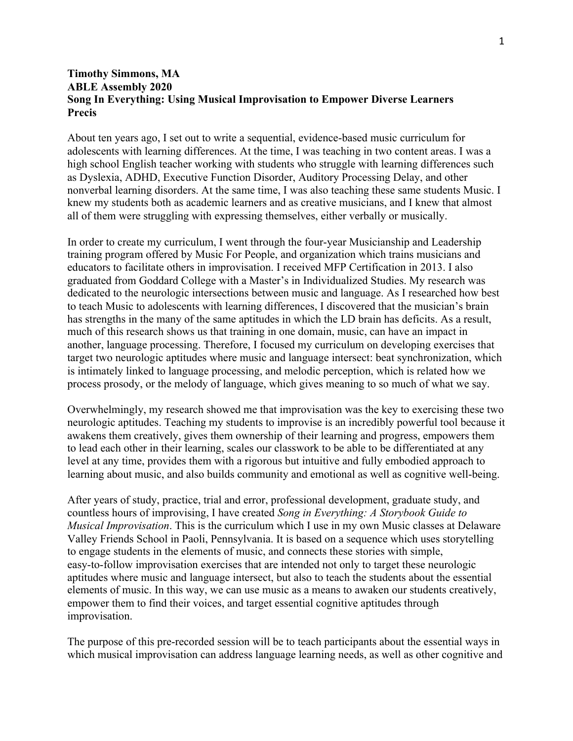## **Timothy Simmons, MA ABLE Assembly 2020 Song In Everything: Using Musical Improvisation to Empower Diverse Learners Precis**

About ten years ago, I set out to write a sequential, evidence-based music curriculum for adolescents with learning differences. At the time, I was teaching in two content areas. I was a high school English teacher working with students who struggle with learning differences such as Dyslexia, ADHD, Executive Function Disorder, Auditory Processing Delay, and other nonverbal learning disorders. At the same time, I was also teaching these same students Music. I knew my students both as academic learners and as creative musicians, and I knew that almost all of them were struggling with expressing themselves, either verbally or musically.

In order to create my curriculum, I went through the four-year Musicianship and Leadership training program offered by Music For People, and organization which trains musicians and educators to facilitate others in improvisation. I received MFP Certification in 2013. I also graduated from Goddard College with a Master's in Individualized Studies. My research was dedicated to the neurologic intersections between music and language. As I researched how best to teach Music to adolescents with learning differences, I discovered that the musician's brain has strengths in the many of the same aptitudes in which the LD brain has deficits. As a result, much of this research shows us that training in one domain, music, can have an impact in another, language processing. Therefore, I focused my curriculum on developing exercises that target two neurologic aptitudes where music and language intersect: beat synchronization, which is intimately linked to language processing, and melodic perception, which is related how we process prosody, or the melody of language, which gives meaning to so much of what we say.

Overwhelmingly, my research showed me that improvisation was the key to exercising these two neurologic aptitudes. Teaching my students to improvise is an incredibly powerful tool because it awakens them creatively, gives them ownership of their learning and progress, empowers them to lead each other in their learning, scales our classwork to be able to be differentiated at any level at any time, provides them with a rigorous but intuitive and fully embodied approach to learning about music, and also builds community and emotional as well as cognitive well-being.

After years of study, practice, trial and error, professional development, graduate study, and countless hours of improvising, I have created *Song in Everything: A Storybook Guide to Musical Improvisation*. This is the curriculum which I use in my own Music classes at Delaware Valley Friends School in Paoli, Pennsylvania. It is based on a sequence which uses storytelling to engage students in the elements of music, and connects these stories with simple, easy-to-follow improvisation exercises that are intended not only to target these neurologic aptitudes where music and language intersect, but also to teach the students about the essential elements of music. In this way, we can use music as a means to awaken our students creatively, empower them to find their voices, and target essential cognitive aptitudes through improvisation.

The purpose of this pre-recorded session will be to teach participants about the essential ways in which musical improvisation can address language learning needs, as well as other cognitive and